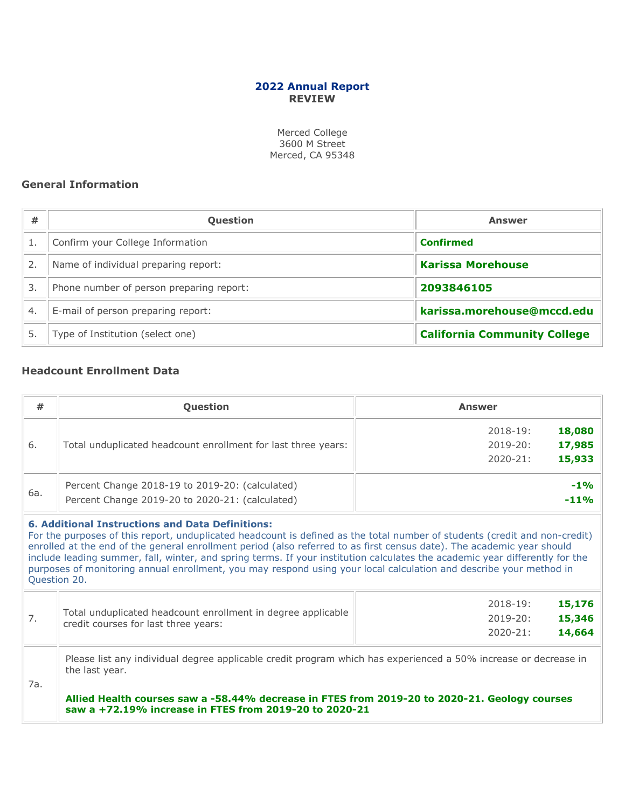# **2022 Annual Report REVIEW**

Merced College 3600 M Street Merced, CA 95348

## **General Information**

| #                | <b>Question</b>                          | <b>Answer</b>                       |
|------------------|------------------------------------------|-------------------------------------|
|                  | Confirm your College Information         | <b>Confirmed</b>                    |
|                  | Name of individual preparing report:     | <b>Karissa Morehouse</b>            |
| 3.               | Phone number of person preparing report: | 2093846105                          |
| $\overline{4}$ . | E-mail of person preparing report:       | karissa.morehouse@mccd.edu          |
| 5.               | Type of Institution (select one)         | <b>California Community College</b> |

# **Headcount Enrollment Data**

| #            | Question<br><b>Answer</b>                                                                                                                                                                                                                                                                                                                                                                                                                                                                                  |                         |
|--------------|------------------------------------------------------------------------------------------------------------------------------------------------------------------------------------------------------------------------------------------------------------------------------------------------------------------------------------------------------------------------------------------------------------------------------------------------------------------------------------------------------------|-------------------------|
|              |                                                                                                                                                                                                                                                                                                                                                                                                                                                                                                            | 18,080<br>$2018 - 19:$  |
| 6.           | Total unduplicated headcount enrollment for last three years:                                                                                                                                                                                                                                                                                                                                                                                                                                              | $2019 - 20:$<br>17,985  |
|              |                                                                                                                                                                                                                                                                                                                                                                                                                                                                                                            | 15,933<br>$2020 - 21:$  |
|              | Percent Change 2018-19 to 2019-20: (calculated)                                                                                                                                                                                                                                                                                                                                                                                                                                                            | $-1\%$                  |
| 6a.          | Percent Change 2019-20 to 2020-21: (calculated)                                                                                                                                                                                                                                                                                                                                                                                                                                                            | $-11%$                  |
| Question 20. | For the purposes of this report, unduplicated headcount is defined as the total number of students (credit and non-credit)<br>enrolled at the end of the general enrollment period (also referred to as first census date). The academic year should<br>include leading summer, fall, winter, and spring terms. If your institution calculates the academic year differently for the<br>purposes of monitoring annual enrollment, you may respond using your local calculation and describe your method in |                         |
|              |                                                                                                                                                                                                                                                                                                                                                                                                                                                                                                            | 15,176<br>$2018 - 19$ : |
| 7.           | Total unduplicated headcount enrollment in degree applicable<br>credit courses for last three years:                                                                                                                                                                                                                                                                                                                                                                                                       | 15,346<br>$2019 - 20:$  |
|              |                                                                                                                                                                                                                                                                                                                                                                                                                                                                                                            | 14,664<br>$2020 - 21:$  |
| 7a.          | Please list any individual degree applicable credit program which has experienced a 50% increase or decrease in<br>the last year.                                                                                                                                                                                                                                                                                                                                                                          |                         |
|              | Allied Health courses saw a -58.44% decrease in FTES from 2019-20 to 2020-21. Geology courses<br>saw a +72.19% increase in FTES from 2019-20 to 2020-21                                                                                                                                                                                                                                                                                                                                                    |                         |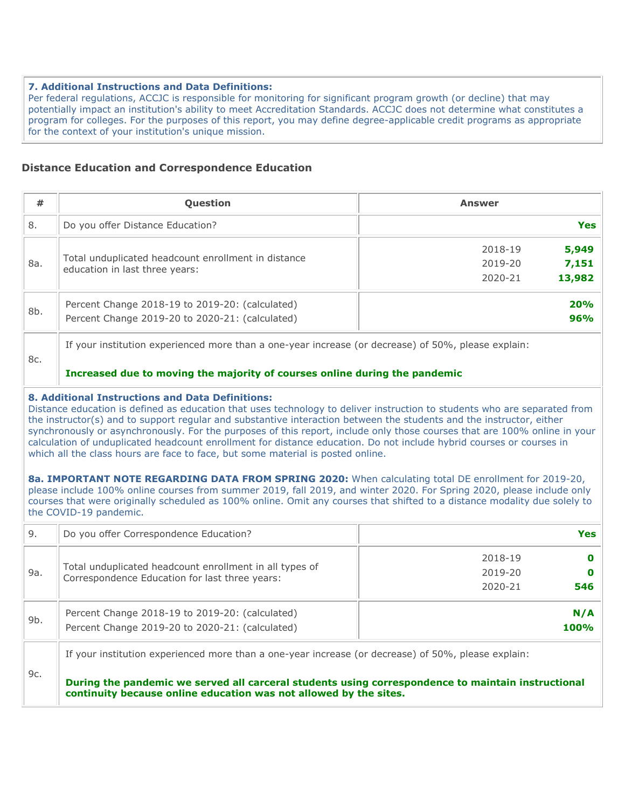#### **7. Additional Instructions and Data Definitions:**

Per federal regulations, ACCJC is responsible for monitoring for significant program growth (or decline) that may potentially impact an institution's ability to meet Accreditation Standards. ACCJC does not determine what constitutes a program for colleges. For the purposes of this report, you may define degree-applicable credit programs as appropriate for the context of your institution's unique mission.

## **Distance Education and Correspondence Education**

| #   | <b>Question</b>                                                                                    | <b>Answer</b>                                             |
|-----|----------------------------------------------------------------------------------------------------|-----------------------------------------------------------|
| 8.  | Do you offer Distance Education?                                                                   | <b>Yes</b>                                                |
| 8a. | Total unduplicated headcount enrollment in distance<br>education in last three years:              | 5,949<br>2018-19<br>7,151<br>2019-20<br>13,982<br>2020-21 |
| 8b. | Percent Change 2018-19 to 2019-20: (calculated)<br>Percent Change 2019-20 to 2020-21: (calculated) | 20%<br>96%                                                |

If your institution experienced more than a one-year increase (or decrease) of 50%, please explain:

### **Increased due to moving the majority of courses online during the pandemic**

#### **8. Additional Instructions and Data Definitions:**

8c.

Distance education is defined as education that uses technology to deliver instruction to students who are separated from the instructor(s) and to support regular and substantive interaction between the students and the instructor, either synchronously or asynchronously. For the purposes of this report, include only those courses that are 100% online in your calculation of unduplicated headcount enrollment for distance education. Do not include hybrid courses or courses in which all the class hours are face to face, but some material is posted online.

**8a. IMPORTANT NOTE REGARDING DATA FROM SPRING 2020:** When calculating total DE enrollment for 2019-20, please include 100% online courses from summer 2019, fall 2019, and winter 2020. For Spring 2020, please include only courses that were originally scheduled as 100% online. Omit any courses that shifted to a distance modality due solely to the COVID-19 pandemic.

| 9.  | Do you offer Correspondence Education?                                                                    | Yes            |
|-----|-----------------------------------------------------------------------------------------------------------|----------------|
|     |                                                                                                           | 2018-19        |
| 9a. | Total unduplicated headcount enrollment in all types of<br>Correspondence Education for last three years: | 2019-20        |
|     |                                                                                                           | 2020-21<br>546 |
| 9b. | Percent Change 2018-19 to 2019-20: (calculated)                                                           | N/A            |
|     | Percent Change 2019-20 to 2020-21: (calculated)                                                           | <b>100%</b>    |
|     | If your institution experienced more than a one-year increase (or decrease) of 50%, please explain:       |                |
| 9c. | During the pandemic we served all carceral students using correspondence to maintain instructional        |                |

**continuity because online education was not allowed by the sites.**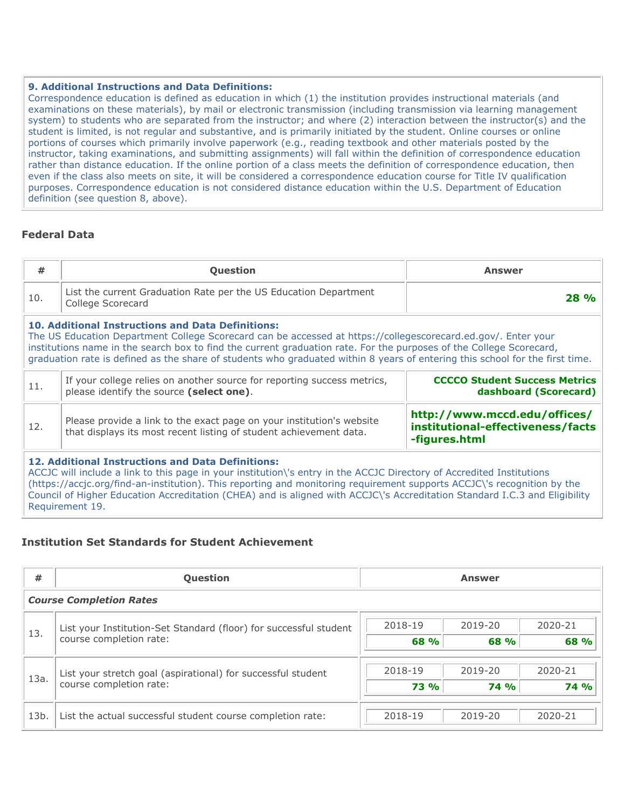### **9. Additional Instructions and Data Definitions:**

Correspondence education is defined as education in which (1) the institution provides instructional materials (and examinations on these materials), by mail or electronic transmission (including transmission via learning management system) to students who are separated from the instructor; and where (2) interaction between the instructor(s) and the student is limited, is not regular and substantive, and is primarily initiated by the student. Online courses or online portions of courses which primarily involve paperwork (e.g., reading textbook and other materials posted by the instructor, taking examinations, and submitting assignments) will fall within the definition of correspondence education rather than distance education. If the online portion of a class meets the definition of correspondence education, then even if the class also meets on site, it will be considered a correspondence education course for Title IV qualification purposes. Correspondence education is not considered distance education within the U.S. Department of Education definition (see question 8, above).

# **Federal Data**

| #                                                                                                                                                                                                                                                                                                                                                                                                                                | <b>Question</b>                                                                                                                                                                      | <b>Answer</b> |  |  |  |
|----------------------------------------------------------------------------------------------------------------------------------------------------------------------------------------------------------------------------------------------------------------------------------------------------------------------------------------------------------------------------------------------------------------------------------|--------------------------------------------------------------------------------------------------------------------------------------------------------------------------------------|---------------|--|--|--|
| 10.                                                                                                                                                                                                                                                                                                                                                                                                                              | List the current Graduation Rate per the US Education Department<br>College Scorecard                                                                                                | 28 %          |  |  |  |
| <b>10. Additional Instructions and Data Definitions:</b><br>The US Education Department College Scorecard can be accessed at https://collegescorecard.ed.gov/. Enter your<br>institutions name in the search box to find the current graduation rate. For the purposes of the College Scorecard,<br>graduation rate is defined as the share of students who graduated within 8 years of entering this school for the first time. |                                                                                                                                                                                      |               |  |  |  |
| 11.                                                                                                                                                                                                                                                                                                                                                                                                                              | If your college relies on another source for reporting success metrics,<br><b>CCCCO Student Success Metrics</b><br>please identify the source (select one).<br>dashboard (Scorecard) |               |  |  |  |
| http://www.mccd.edu/offices/<br>Please provide a link to the exact page on your institution's website<br>12.<br>institutional-effectiveness/facts<br>that displays its most recent listing of student achievement data.<br>-figures.html                                                                                                                                                                                         |                                                                                                                                                                                      |               |  |  |  |
| 12. Additional Instructions and Data Definitions:<br>ACCJC will include a link to this page in your institution\'s entry in the ACCJC Directory of Accredited Institutions<br>(https://accic.org/find-an-institution). This reporting and monitoring requirement supports ACCIC\'s recognition by the                                                                                                                            |                                                                                                                                                                                      |               |  |  |  |

(https://accjc.org/find-an-institution). This reporting and monitoring requirement supports ACCJC\'s recognition by the Council of Higher Education Accreditation (CHEA) and is aligned with ACCJC\'s Accreditation Standard I.C.3 and Eligibility Requirement 19.

# **Institution Set Standards for Student Achievement**

| #    | <b>Question</b>                                                   | <b>Answer</b>                             |
|------|-------------------------------------------------------------------|-------------------------------------------|
|      | <b>Course Completion Rates</b>                                    |                                           |
| 13.  | List your Institution-Set Standard (floor) for successful student | 2020-21<br>2018-19<br>2019-20             |
|      | course completion rate:                                           | 68 %<br>68 %<br>68 %                      |
| 13a. | List your stretch goal (aspirational) for successful student      | 2020-21<br>2018-19<br>2019-20             |
|      | course completion rate:                                           | <b>74 %</b><br><b>73 %</b><br><b>74 %</b> |
| 13b. | List the actual successful student course completion rate:        | 2020-21<br>2018-19<br>2019-20             |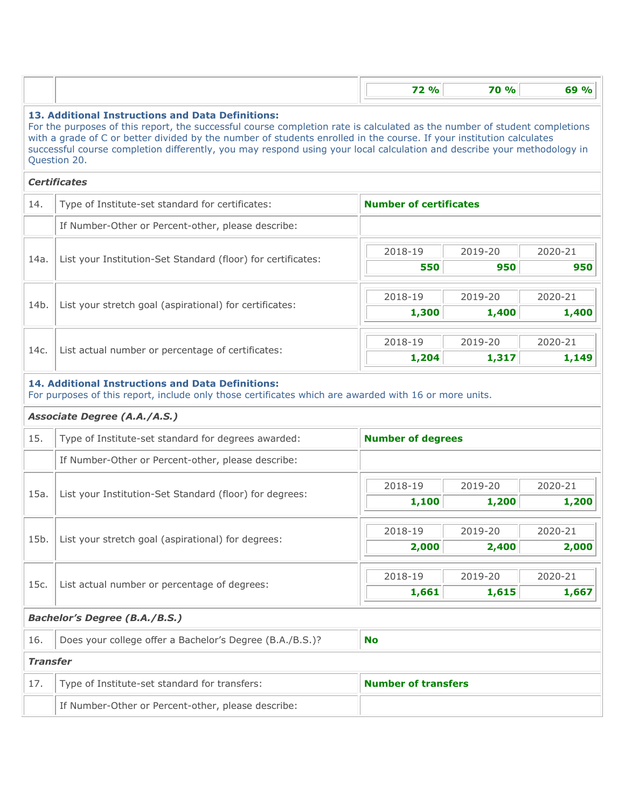|                 |                                                                                                                                                                                                                                                                                                                                                                                                                                                   | <b>72 %</b>                   | <b>70 %</b>    | 69 %                     |  |  |  |
|-----------------|---------------------------------------------------------------------------------------------------------------------------------------------------------------------------------------------------------------------------------------------------------------------------------------------------------------------------------------------------------------------------------------------------------------------------------------------------|-------------------------------|----------------|--------------------------|--|--|--|
|                 | 13. Additional Instructions and Data Definitions:<br>For the purposes of this report, the successful course completion rate is calculated as the number of student completions<br>with a grade of C or better divided by the number of students enrolled in the course. If your institution calculates<br>successful course completion differently, you may respond using your local calculation and describe your methodology in<br>Question 20. |                               |                |                          |  |  |  |
|                 | <b>Certificates</b>                                                                                                                                                                                                                                                                                                                                                                                                                               |                               |                |                          |  |  |  |
| 14.             | Type of Institute-set standard for certificates:                                                                                                                                                                                                                                                                                                                                                                                                  | <b>Number of certificates</b> |                |                          |  |  |  |
|                 | If Number-Other or Percent-other, please describe:                                                                                                                                                                                                                                                                                                                                                                                                |                               |                |                          |  |  |  |
| 14a.            | List your Institution-Set Standard (floor) for certificates:                                                                                                                                                                                                                                                                                                                                                                                      | 2018-19<br>550                | 2019-20<br>950 | 2020-21<br>950           |  |  |  |
|                 |                                                                                                                                                                                                                                                                                                                                                                                                                                                   |                               |                |                          |  |  |  |
| 14b.            | List your stretch goal (aspirational) for certificates:                                                                                                                                                                                                                                                                                                                                                                                           | 2018-19                       | 2019-20        | 2020-21                  |  |  |  |
|                 |                                                                                                                                                                                                                                                                                                                                                                                                                                                   | 1,300                         | 1,400          | 1,400                    |  |  |  |
|                 |                                                                                                                                                                                                                                                                                                                                                                                                                                                   | 2018-19                       | 2019-20        | 2020-21                  |  |  |  |
| 14c.            | List actual number or percentage of certificates:                                                                                                                                                                                                                                                                                                                                                                                                 | 1,204                         | 1,317          | 1,149                    |  |  |  |
| 15.             | Type of Institute-set standard for degrees awarded:                                                                                                                                                                                                                                                                                                                                                                                               |                               |                | <b>Number of degrees</b> |  |  |  |
|                 |                                                                                                                                                                                                                                                                                                                                                                                                                                                   |                               |                |                          |  |  |  |
|                 | If Number-Other or Percent-other, please describe:                                                                                                                                                                                                                                                                                                                                                                                                |                               |                |                          |  |  |  |
|                 |                                                                                                                                                                                                                                                                                                                                                                                                                                                   |                               |                |                          |  |  |  |
| 15a.            |                                                                                                                                                                                                                                                                                                                                                                                                                                                   | 2018-19                       | 2019-20        | 2020-21                  |  |  |  |
|                 | List your Institution-Set Standard (floor) for degrees:                                                                                                                                                                                                                                                                                                                                                                                           | 1,100                         | 1,200          | 1,200                    |  |  |  |
|                 |                                                                                                                                                                                                                                                                                                                                                                                                                                                   | 2018-19                       | 2019-20        | 2020-21                  |  |  |  |
| 15b.            | List your stretch goal (aspirational) for degrees:                                                                                                                                                                                                                                                                                                                                                                                                | 2,000                         | 2,400          | 2,000                    |  |  |  |
|                 |                                                                                                                                                                                                                                                                                                                                                                                                                                                   |                               |                |                          |  |  |  |
| 15c.            | List actual number or percentage of degrees:                                                                                                                                                                                                                                                                                                                                                                                                      | 2018-19                       | 2019-20        | 2020-21                  |  |  |  |
|                 |                                                                                                                                                                                                                                                                                                                                                                                                                                                   | 1,661                         | 1,615          | 1,667                    |  |  |  |
|                 | <b>Bachelor's Degree (B.A./B.S.)</b>                                                                                                                                                                                                                                                                                                                                                                                                              |                               |                |                          |  |  |  |
| 16.             | Does your college offer a Bachelor's Degree (B.A./B.S.)?                                                                                                                                                                                                                                                                                                                                                                                          | <b>No</b>                     |                |                          |  |  |  |
| <b>Transfer</b> |                                                                                                                                                                                                                                                                                                                                                                                                                                                   |                               |                |                          |  |  |  |
| 17.             | Type of Institute-set standard for transfers:                                                                                                                                                                                                                                                                                                                                                                                                     | <b>Number of transfers</b>    |                |                          |  |  |  |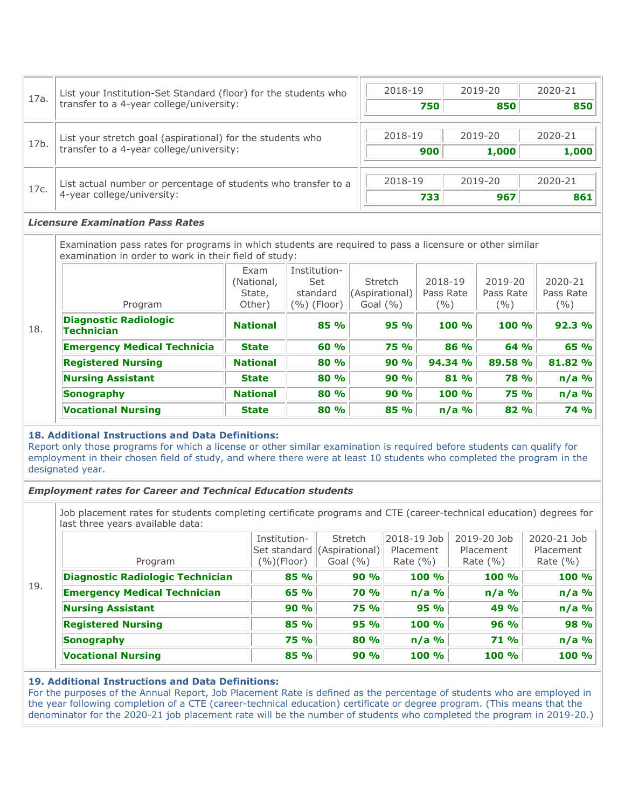| 17a. | List your Institution-Set Standard (floor) for the students who | 2018-19 | 2019-20 | 2020-21 |
|------|-----------------------------------------------------------------|---------|---------|---------|
|      | transfer to a 4-year college/university:                        | 750     | 850     | 850     |
|      | List your stretch goal (aspirational) for the students who      | 2018-19 | 2019-20 | 2020-21 |
| 17b. | transfer to a 4-year college/university:                        | 900     | 1,000   | 1,000   |
|      | List actual number or percentage of students who transfer to a  | 2018-19 | 2019-20 | 2020-21 |
| 17c. | 4-year college/university:                                      | 733     | 967     | 861     |

#### *Licensure Examination Pass Rates*

Examination pass rates for programs in which students are required to pass a licensure or other similar examination in order to work in their field of study:

| Program                                    | Exam<br>(National,<br>State,<br>Other) | Institution-<br>Set<br>standard<br>$(\%)(Floor)$ | Stretch<br>(Aspirational)<br>Goal $(\% )$ | 2018-19<br>Pass Rate<br>(%) | 2019-20<br>Pass Rate<br>$($ %) | 2020-21<br>Pass Rate<br>( %) |
|--------------------------------------------|----------------------------------------|--------------------------------------------------|-------------------------------------------|-----------------------------|--------------------------------|------------------------------|
|                                            |                                        |                                                  |                                           |                             |                                |                              |
| <b>Diagnostic Radiologic</b><br>Technician | <b>National</b>                        | 85 %                                             | 95%                                       | 100%                        | 100%                           | 92.3 %                       |
| <b>Emergency Medical Technicia</b>         | <b>State</b>                           | 60 %                                             | <b>75 %</b>                               | 86 %                        | 64 %                           | 65 %                         |
| <b>Registered Nursing</b>                  | <b>National</b>                        | 80 %                                             | 90 %                                      | 94.34 %                     | 89.58 %                        | 81.82 %                      |
| <b>Nursing Assistant</b>                   | <b>State</b>                           | 80 %                                             | 90 %                                      | 81 %                        | <b>78 %</b>                    | $n/a$ %                      |
| Sonography                                 | <b>National</b>                        | 80 %                                             | 90%                                       | 100 %                       | <b>75 %</b>                    | $n/a$ %                      |
| <b>Vocational Nursing</b>                  | <b>State</b>                           | 80 %                                             | 85 %                                      | $n/a$ %                     | 82 %                           | <b>74 %</b>                  |

#### **18. Additional Instructions and Data Definitions:**

Report only those programs for which a license or other similar examination is required before students can qualify for employment in their chosen field of study, and where there were at least 10 students who completed the program in the designated year.

### *Employment rates for Career and Technical Education students*

Job placement rates for students completing certificate programs and CTE (career-technical education) degrees for last three years available data:

|     |                                         | Institution-<br>Set standard | <b>Stretch</b><br>(Aspirational) | 2018-19 Job<br>Placement | 2019-20 Job<br>Placement | 2020-21 Job<br>Placement |
|-----|-----------------------------------------|------------------------------|----------------------------------|--------------------------|--------------------------|--------------------------|
|     | Program                                 | $(\%)(Floor)$                | Goal $(\% )$                     | Rate $(\% )$             | Rate $(\% )$             | Rate $(\% )$             |
|     | <b>Diagnostic Radiologic Technician</b> | 85 %                         | 90%                              | 100 %                    | 100 %                    | 100 %                    |
| 19. | <b>Emergency Medical Technician</b>     | 65 %                         | <b>70 %</b>                      | $n/a$ %                  | $n/a$ %                  | $n/a$ %                  |
|     | <b>Nursing Assistant</b>                | 90 %                         | <b>75 %</b>                      | 95 %                     | 49 %                     | $n/a$ %                  |
|     | <b>Registered Nursing</b>               | 85 %                         | 95%                              | 100 %                    | 96 %                     | 98 %                     |
|     | Sonography                              | <b>75 %</b>                  | 80 %                             | $n/a$ %                  | 71%                      | $n/a$ %                  |
|     | <b>Vocational Nursing</b>               | 85 %                         | 90%                              | 100 %                    | 100 %                    | 100 %                    |

### **19. Additional Instructions and Data Definitions:**

For the purposes of the Annual Report, Job Placement Rate is defined as the percentage of students who are employed in the year following completion of a CTE (career-technical education) certificate or degree program. (This means that the denominator for the 2020-21 job placement rate will be the number of students who completed the program in 2019-20.)